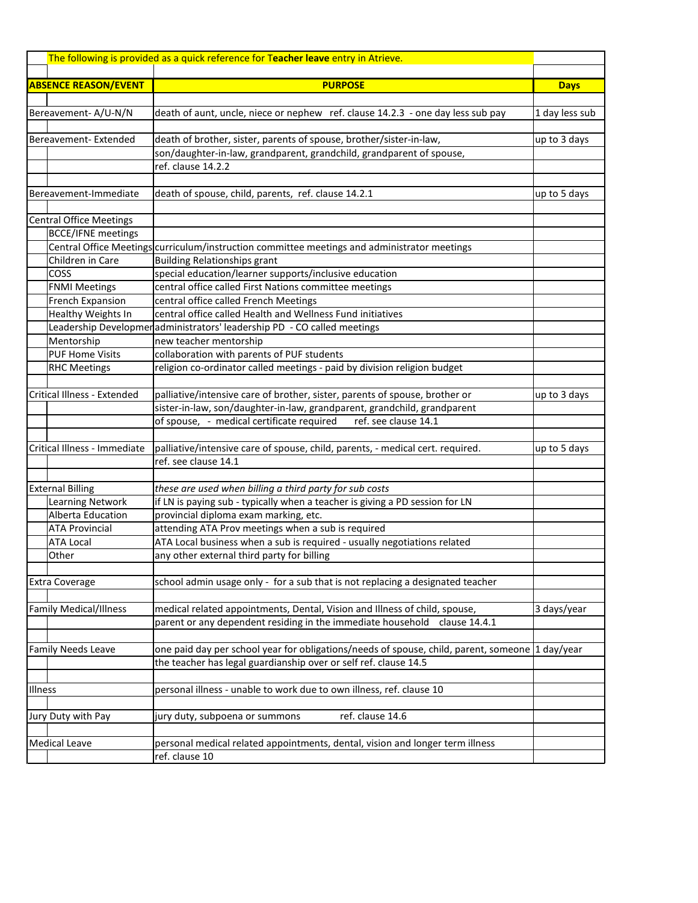| The following is provided as a quick reference for Teacher leave entry in Atrieve. |                                                                                              |                |
|------------------------------------------------------------------------------------|----------------------------------------------------------------------------------------------|----------------|
| <b>ABSENCE REASON/EVENT</b>                                                        | <b>PURPOSE</b>                                                                               | <b>Days</b>    |
|                                                                                    |                                                                                              |                |
| Bereavement-A/U-N/N                                                                | death of aunt, uncle, niece or nephew ref. clause 14.2.3 - one day less sub pay              | 1 day less sub |
| Bereavement-Extended                                                               | death of brother, sister, parents of spouse, brother/sister-in-law,                          | up to 3 days   |
|                                                                                    | son/daughter-in-law, grandparent, grandchild, grandparent of spouse,                         |                |
|                                                                                    | ref. clause 14.2.2                                                                           |                |
|                                                                                    |                                                                                              |                |
| Bereavement-Immediate                                                              | death of spouse, child, parents, ref. clause 14.2.1                                          | up to 5 days   |
| <b>Central Office Meetings</b>                                                     |                                                                                              |                |
| <b>BCCE/IFNE</b> meetings                                                          |                                                                                              |                |
|                                                                                    | Central Office Meetings curriculum/instruction committee meetings and administrator meetings |                |
| Children in Care                                                                   | <b>Building Relationships grant</b>                                                          |                |
| <b>COSS</b>                                                                        | special education/learner supports/inclusive education                                       |                |
| <b>FNMI Meetings</b>                                                               | central office called First Nations committee meetings                                       |                |
| French Expansion                                                                   | central office called French Meetings                                                        |                |
| Healthy Weights In                                                                 | central office called Health and Wellness Fund initiatives                                   |                |
|                                                                                    | Leadership Developmer administrators' leadership PD - CO called meetings                     |                |
| Mentorship                                                                         | new teacher mentorship                                                                       |                |
| <b>PUF Home Visits</b>                                                             | collaboration with parents of PUF students                                                   |                |
| <b>RHC Meetings</b>                                                                | religion co-ordinator called meetings - paid by division religion budget                     |                |
|                                                                                    |                                                                                              |                |
| Critical Illness - Extended                                                        | palliative/intensive care of brother, sister, parents of spouse, brother or                  | up to 3 days   |
|                                                                                    | sister-in-law, son/daughter-in-law, grandparent, grandchild, grandparent                     |                |
|                                                                                    | of spouse, - medical certificate required<br>ref. see clause 14.1                            |                |
|                                                                                    |                                                                                              |                |
| Critical Illness - Immediate                                                       | palliative/intensive care of spouse, child, parents, - medical cert. required.               | up to 5 days   |
|                                                                                    | ref. see clause 14.1                                                                         |                |
|                                                                                    |                                                                                              |                |
| <b>External Billing</b>                                                            | these are used when billing a third party for sub costs                                      |                |
| <b>Learning Network</b>                                                            | if LN is paying sub - typically when a teacher is giving a PD session for LN                 |                |
| Alberta Education                                                                  | provincial diploma exam marking, etc.                                                        |                |
| <b>ATA Provincial</b>                                                              | attending ATA Prov meetings when a sub is required                                           |                |
| <b>ATA Local</b>                                                                   | ATA Local business when a sub is required - usually negotiations related                     |                |
| Other                                                                              | any other external third party for billing                                                   |                |
|                                                                                    |                                                                                              |                |
| <b>Extra Coverage</b>                                                              | school admin usage only - for a sub that is not replacing a designated teacher               |                |
|                                                                                    |                                                                                              |                |
| <b>Family Medical/Illness</b>                                                      | medical related appointments, Dental, Vision and Illness of child, spouse,                   | 3 days/year    |
|                                                                                    | parent or any dependent residing in the immediate household clause 14.4.1                    |                |
|                                                                                    |                                                                                              |                |
| <b>Family Needs Leave</b>                                                          | one paid day per school year for obligations/needs of spouse, child, parent, someone         | 1 day/year     |
|                                                                                    | the teacher has legal guardianship over or self ref. clause 14.5                             |                |
|                                                                                    |                                                                                              |                |
| Illness                                                                            | personal illness - unable to work due to own illness, ref. clause 10                         |                |
|                                                                                    |                                                                                              |                |
| Jury Duty with Pay                                                                 | ref. clause 14.6<br>jury duty, subpoena or summons                                           |                |
|                                                                                    |                                                                                              |                |
| <b>Medical Leave</b>                                                               | personal medical related appointments, dental, vision and longer term illness                |                |
|                                                                                    | ref. clause 10                                                                               |                |